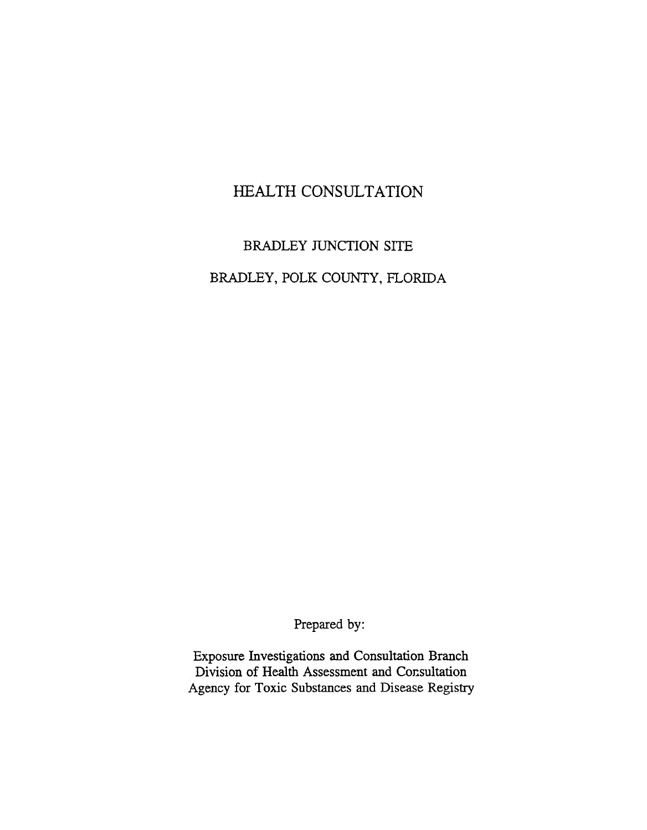# HEALTH CONSULTATION

# BRADLEY JUNCTION SITE BRADLEY, POLK COUNTY, FLORIDA

Prepared by:

Exposure Investigations and Consultation Branch Division of Health Assessment and Consultation Agency for Toxic Substances and Disease Registry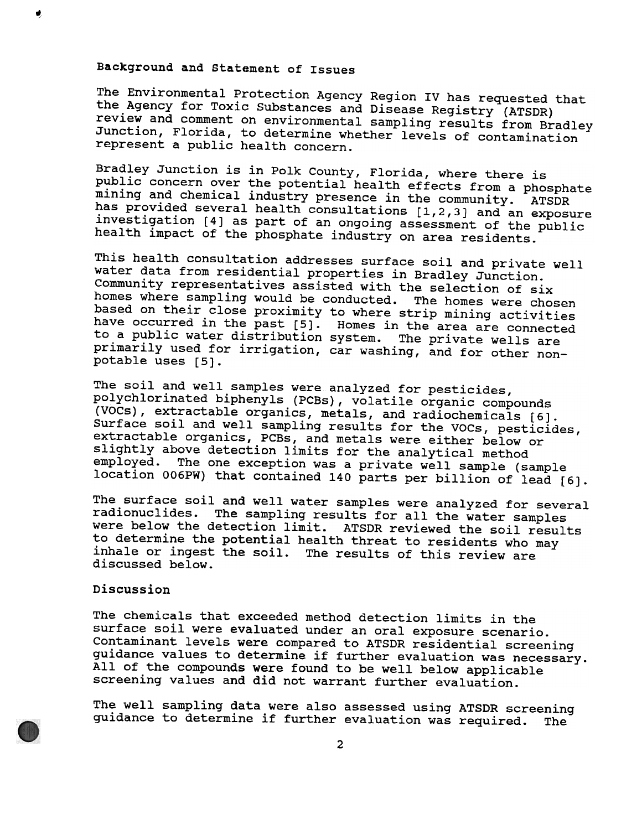## Background and statement of Issues

The Environmental Protection Agency Region IV has requested that the Agency for Toxic Substances and Disease Registry (ATSDR) review and comment on environmental sampling results from Bradley Junction, Florida, to determine whether levels of contamination represent a public health concern.

Bradley Junction is in Polk County, Florida, where there is public concern over the potential health effects from a phosphate mining and chemical industry presence in the community. ATSDR has provided several health consultations [1,2,3] and an exposure investigation [4] as part of an ongoing assessment of the public health impact of the phosphate industry on area residents.

This health consultation addresses surface soil and private well water data from residential properties in Bradley Junction. Community representatives assisted with the selection of six homes where sampling would be conducted. The homes were chosen based on their close proximity to where strip mining activities have occurred in the past [5]. Homes in the area are connected to a public water distribution system. The private wells are primarily used for irrigation, car washing, and for other nonpotable uses [5].

The soil and well samples were analyzed for pesticides, polychlorinated biphenyls (PCBs), volatile organic compounds (VOCs), extractable organics, metals, and radiochemicals [6J. Surface soil and well sampling results for the VOCs, pesticides, extractable organics, PCBs, and metals were either below or slightly above detection limits for the analytical method employed. The one exception was a private well sample (sample location 006PW) that contained 140 parts per billion of lead [6J.

The surface soil and well water samples were analyzed for several radionuclides. The sampling results for all the water samples were below the detection limit. ATSDR reviewed the soil results to determine the potential health threat to residents who may inhale or ingest the soil. The results of this review are discussed below.

#### Discussion

The chemicals that exceeded method detection limits in the surface soil were evaluated under an oral exposure scenario. Contaminant levels were compared to ATSDR residential screening guidance values to determine if further evaluation was necessary. All of the compounds were found to be well below applicable screening values and did not warrant further evaluation.

The well sampling data were also assessed using ATSDR screening guidance to determine if further evaluation was required. The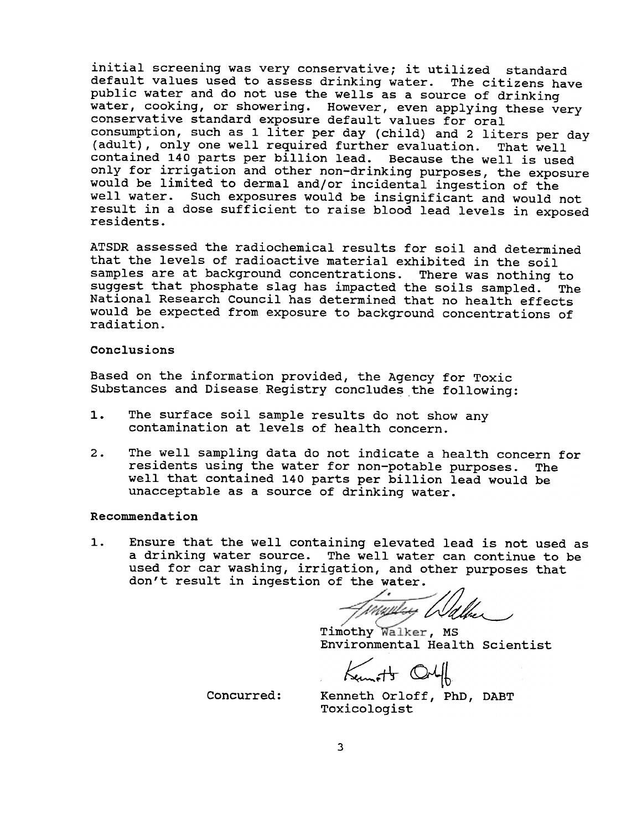initial screening was very conservative; it utilized standard default values used to assess drinking water. The citizens have public water and do not use the wells as a source of drinking water, cooking, or showering. However, even applying these very conservative standard exposure default values for oral consumption, such as 1 liter per day (child) and 2 liters per day (adult), only one well required further evaluation. That well contained 140 parts per billion lead. Because the well is used only for irrigation and other non-drinking purposes, the exposure would be limited to dermal and/or incidental ingestion of the well water. Such exposures would be insignificant and would not result in a dose sufficient to raise blood lead levels in exposed residents.

ATSDR assessed the radiochemical results for soil and determined that the levels of radioactive material exhibited in the soil samples are at background concentrations. There was nothing to suggest that phosphate slag has impacted the soils sampled. The National Research Council has determined that no health effects would be expected from exposure to background concentrations of radiation.

#### Conclusions

Based on the information provided, the Agency for Toxic Substances and Disease Registry concludes the following:

- The surface soil sample results do not show any  $1.$ contamination at levels of health concern.
- 2. The well sampling data do not indicate a health concern for residents using the water for non-potable purposes. The well that contained 140 parts per billion lead would be unacceptable as a source of drinking water.

### Recommendation

 $1.$ Ensure that the well containing elevated lead is not used as a drinking water source. The well water can continue to be used for car washing, irrigation, and other purposes that don't result in ingestion of the water.

Tinggay Walk

Timothy Walker, MS Environmental Health scientist

 $K_{\text{tum}}$  of  $+$ 

Concurred:

Kenneth Orloff, PhD, DABT Toxicologist